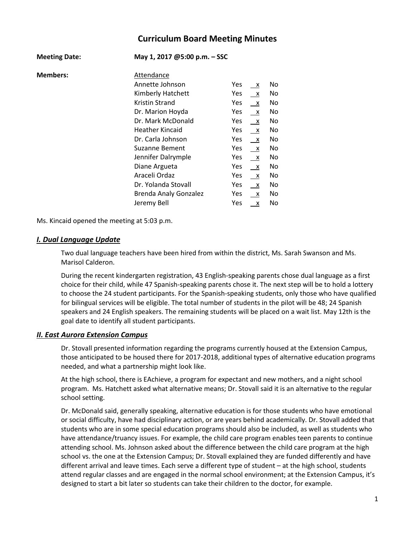# **Curriculum Board Meeting Minutes**

| <b>Meeting Date:</b> | May 1, 2017 @5:00 p.m. - SSC |            |              |    |
|----------------------|------------------------------|------------|--------------|----|
| <b>Members:</b>      | Attendance                   |            |              |    |
|                      | Annette Johnson              | Yes.       | x            | No |
|                      | Kimberly Hatchett            | Yes.       | $\mathsf{X}$ | No |
|                      | Kristin Strand               | Yes        | $\mathsf{X}$ | No |
|                      | Dr. Marion Hoyda             | <b>Yes</b> | X            | No |
|                      | Dr. Mark McDonald            | <b>Yes</b> | $\mathsf{X}$ | No |
|                      | Heather Kincaid              | Yes        | $\mathsf{X}$ | No |
|                      | Dr. Carla Johnson            | Yes.       | $\mathsf{X}$ | No |
|                      | <b>Suzanne Bement</b>        | Yes        | $\mathsf{X}$ | No |
|                      | Jennifer Dalrymple           | Yes.       | $\mathsf{X}$ | No |
|                      | Diane Argueta                | Yes        | $\mathsf{X}$ | No |
|                      | Araceli Ordaz                | Yes        | $\mathsf{X}$ | No |
|                      | Dr. Yolanda Stovall          | Yes.       | $\mathsf{X}$ | No |
|                      | <b>Brenda Analy Gonzalez</b> | Yes        | $\mathsf{X}$ | No |
|                      | Jeremy Bell                  | Yes        | X            | No |

Ms. Kincaid opened the meeting at 5:03 p.m.

## *I. Dual Language Update*

Two dual language teachers have been hired from within the district, Ms. Sarah Swanson and Ms. Marisol Calderon.

During the recent kindergarten registration, 43 English-speaking parents chose dual language as a first choice for their child, while 47 Spanish-speaking parents chose it. The next step will be to hold a lottery to choose the 24 student participants. For the Spanish-speaking students, only those who have qualified for bilingual services will be eligible. The total number of students in the pilot will be 48; 24 Spanish speakers and 24 English speakers. The remaining students will be placed on a wait list. May 12th is the goal date to identify all student participants.

#### *II. East Aurora Extension Campus*

Dr. Stovall presented information regarding the programs currently housed at the Extension Campus, those anticipated to be housed there for 2017-2018, additional types of alternative education programs needed, and what a partnership might look like.

At the high school, there is EAchieve, a program for expectant and new mothers, and a night school program. Ms. Hatchett asked what alternative means; Dr. Stovall said it is an alternative to the regular school setting.

Dr. McDonald said, generally speaking, alternative education is for those students who have emotional or social difficulty, have had disciplinary action, or are years behind academically. Dr. Stovall added that students who are in some special education programs should also be included, as well as students who have attendance/truancy issues. For example, the child care program enables teen parents to continue attending school. Ms. Johnson asked about the difference between the child care program at the high school vs. the one at the Extension Campus; Dr. Stovall explained they are funded differently and have different arrival and leave times. Each serve a different type of student – at the high school, students attend regular classes and are engaged in the normal school environment; at the Extension Campus, it's designed to start a bit later so students can take their children to the doctor, for example.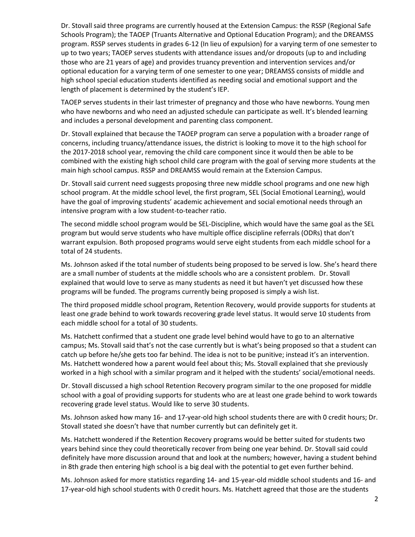Dr. Stovall said three programs are currently housed at the Extension Campus: the RSSP (Regional Safe Schools Program); the TAOEP (Truants Alternative and Optional Education Program); and the DREAMSS program. RSSP serves students in grades 6-12 (In lieu of expulsion) for a varying term of one semester to up to two years; TAOEP serves students with attendance issues and/or dropouts (up to and including those who are 21 years of age) and provides truancy prevention and intervention services and/or optional education for a varying term of one semester to one year; DREAMSS consists of middle and high school special education students identified as needing social and emotional support and the length of placement is determined by the student's IEP.

TAOEP serves students in their last trimester of pregnancy and those who have newborns. Young men who have newborns and who need an adjusted schedule can participate as well. It's blended learning and includes a personal development and parenting class component.

Dr. Stovall explained that because the TAOEP program can serve a population with a broader range of concerns, including truancy/attendance issues, the district is looking to move it to the high school for the 2017-2018 school year, removing the child care component since it would then be able to be combined with the existing high school child care program with the goal of serving more students at the main high school campus. RSSP and DREAMSS would remain at the Extension Campus.

Dr. Stovall said current need suggests proposing three new middle school programs and one new high school program. At the middle school level, the first program, SEL (Social Emotional Learning), would have the goal of improving students' academic achievement and social emotional needs through an intensive program with a low student-to-teacher ratio.

The second middle school program would be SEL-Discipline, which would have the same goal as the SEL program but would serve students who have multiple office discipline referrals (ODRs) that don't warrant expulsion. Both proposed programs would serve eight students from each middle school for a total of 24 students.

Ms. Johnson asked if the total number of students being proposed to be served is low. She's heard there are a small number of students at the middle schools who are a consistent problem. Dr. Stovall explained that would love to serve as many students as need it but haven't yet discussed how these programs will be funded. The programs currently being proposed is simply a wish list.

The third proposed middle school program, Retention Recovery, would provide supports for students at least one grade behind to work towards recovering grade level status. It would serve 10 students from each middle school for a total of 30 students.

Ms. Hatchett confirmed that a student one grade level behind would have to go to an alternative campus; Ms. Stovall said that's not the case currently but is what's being proposed so that a student can catch up before he/she gets too far behind. The idea is not to be punitive; instead it's an intervention. Ms. Hatchett wondered how a parent would feel about this; Ms. Stovall explained that she previously worked in a high school with a similar program and it helped with the students' social/emotional needs.

Dr. Stovall discussed a high school Retention Recovery program similar to the one proposed for middle school with a goal of providing supports for students who are at least one grade behind to work towards recovering grade level status. Would like to serve 30 students.

Ms. Johnson asked how many 16- and 17-year-old high school students there are with 0 credit hours; Dr. Stovall stated she doesn't have that number currently but can definitely get it.

Ms. Hatchett wondered if the Retention Recovery programs would be better suited for students two years behind since they could theoretically recover from being one year behind. Dr. Stovall said could definitely have more discussion around that and look at the numbers; however, having a student behind in 8th grade then entering high school is a big deal with the potential to get even further behind.

Ms. Johnson asked for more statistics regarding 14- and 15-year-old middle school students and 16- and 17-year-old high school students with 0 credit hours. Ms. Hatchett agreed that those are the students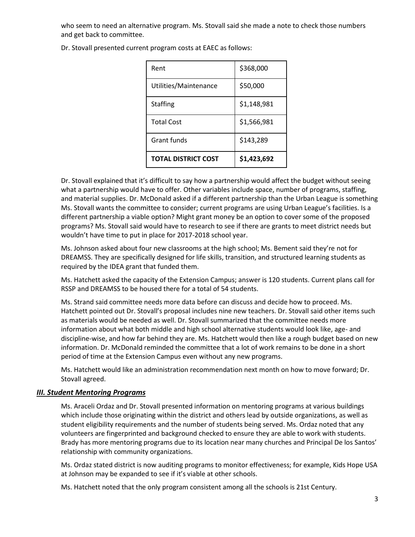who seem to need an alternative program. Ms. Stovall said she made a note to check those numbers and get back to committee.

| Rent                  | \$368,000   |
|-----------------------|-------------|
| Utilities/Maintenance | \$50,000    |
| <b>Staffing</b>       | \$1,148,981 |
| <b>Total Cost</b>     | \$1,566,981 |
| Grant funds           | \$143,289   |
| TOTAL DISTRICT COST   | \$1,423,692 |

Dr. Stovall presented current program costs at EAEC as follows:

Dr. Stovall explained that it's difficult to say how a partnership would affect the budget without seeing what a partnership would have to offer. Other variables include space, number of programs, staffing, and material supplies. Dr. McDonald asked if a different partnership than the Urban League is something Ms. Stovall wants the committee to consider; current programs are using Urban League's facilities. Is a different partnership a viable option? Might grant money be an option to cover some of the proposed programs? Ms. Stovall said would have to research to see if there are grants to meet district needs but wouldn't have time to put in place for 2017-2018 school year.

Ms. Johnson asked about four new classrooms at the high school; Ms. Bement said they're not for DREAMSS. They are specifically designed for life skills, transition, and structured learning students as required by the IDEA grant that funded them.

Ms. Hatchett asked the capacity of the Extension Campus; answer is 120 students. Current plans call for RSSP and DREAMSS to be housed there for a total of 54 students.

Ms. Strand said committee needs more data before can discuss and decide how to proceed. Ms. Hatchett pointed out Dr. Stovall's proposal includes nine new teachers. Dr. Stovall said other items such as materials would be needed as well. Dr. Stovall summarized that the committee needs more information about what both middle and high school alternative students would look like, age- and discipline-wise, and how far behind they are. Ms. Hatchett would then like a rough budget based on new information. Dr. McDonald reminded the committee that a lot of work remains to be done in a short period of time at the Extension Campus even without any new programs.

Ms. Hatchett would like an administration recommendation next month on how to move forward; Dr. Stovall agreed.

#### *III. Student Mentoring Programs*

Ms. Araceli Ordaz and Dr. Stovall presented information on mentoring programs at various buildings which include those originating within the district and others lead by outside organizations, as well as student eligibility requirements and the number of students being served. Ms. Ordaz noted that any volunteers are fingerprinted and background checked to ensure they are able to work with students. Brady has more mentoring programs due to its location near many churches and Principal De los Santos' relationship with community organizations.

Ms. Ordaz stated district is now auditing programs to monitor effectiveness; for example, Kids Hope USA at Johnson may be expanded to see if it's viable at other schools.

Ms. Hatchett noted that the only program consistent among all the schools is 21st Century.